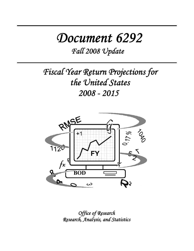# *Document 6292*

*Fall 2008 Update*

*Fiscal Year Return Projections for the United States 2008 - 2015* 



*Office of Research Research, Analysis, and Statistics*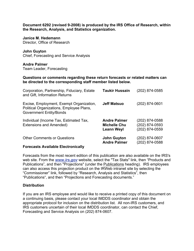**Document 6292 (revised 9-2008) is produced by the IRS Office of Research, within the Research, Analysis, and Statistics organization.** 

**Janice M. Hedemann**  Director, Office of Research

**John Guyton**  Chief, Forecasting and Service Analysis

**Andre Palmer**  Team Leader, Forecasting

**Questions or comments regarding these return forecasts or related matters can be directed to the corresponding staff member listed below.** 

| Corporation, Partnership, Fiduciary, Estate<br>and Gift, Information Returns                                           | <b>Taukir Hussain</b>                                           | (202) 874-0585                                     |
|------------------------------------------------------------------------------------------------------------------------|-----------------------------------------------------------------|----------------------------------------------------|
| Excise, Employment, Exempt Organization,<br>Political Organizations, Employee Plans,<br><b>Government Entity/Bonds</b> | <b>Jeff Matsuo</b>                                              | (202) 874-0601                                     |
| Individual (Income Tax, Estimated Tax,<br>Extensions and Amended)                                                      | <b>Andre Palmer</b><br><b>Michelle Chu</b><br><b>Leann Weyl</b> | (202) 874-0588<br>(202) 874-0593<br>(202) 874-0559 |
| <b>Other Comments or Questions</b>                                                                                     | <b>John Guyton</b><br><b>Andre Palmer</b>                       | (202) 874-0607<br>(202) 874-0588                   |

#### **Forecasts Available Electronically**

Forecasts from the most recent edition of this publication are also available on the IRS's web site. From the *www.irs.gov* website, select the "Tax Stats" link, then "Products and Publications", and then "Projections" (under the Publications heading). IRS employees can also access this projection product on the IRWeb intranet site by selecting the "Commissioner" link, followed by "Research, Analysis and Statistics", then "Publications", and then "Projections and Forecasting documents."

#### **Distribution**

If you are an IRS employee and would like to receive a printed copy of this document on a continuing basis, please contact your local IMDDS coordinator and obtain the appropriate protocol for inclusion on the distribution list. All non-IRS customers, and IRS customers uncertain of their local IMDDS coordinator, can contact the Chief, Forecasting and Service Analysis on (202) 874-0607.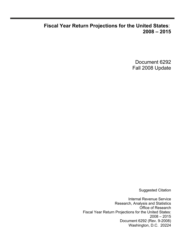## **Fiscal Year Return Projections for the United States**: **2008 – 2015**

Document 6292 Fall 2008 Update

Suggested Citation

Internal Revenue Service Research, Analysis and Statistics Office of Research Fiscal Year Return Projections for the United States: 2008 – 2015 Document 6292 (Rev. 9-2008) Washington, D.C. 20224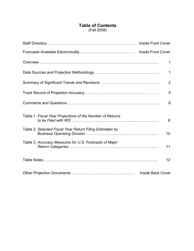### **Table of Contents** (Fall 2008)

|                                                           | 1                        |
|-----------------------------------------------------------|--------------------------|
|                                                           | $\mathbf{1}$             |
|                                                           | $\overline{2}$           |
|                                                           | 5                        |
|                                                           | 6                        |
| Table 1. Fiscal Year Projections of the Number of Returns | 8                        |
| Table 2. Selected Fiscal Year Return Filing Estimates by  | 10                       |
| Table 3. Accuracy Measures for U.S. Forecasts of Major    | 11                       |
|                                                           | 12                       |
|                                                           | <b>Inside Back Cover</b> |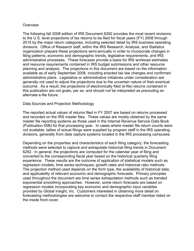#### **Overview**

The following fall 2008 edition of IRS Document 6292 provides the most recent revisions to the U.S. level projections of tax returns to be filed for fiscal years (FY) 2008 through 2015 by the major return categories, including selected detail by IRS business operating divisions. Office of Research staff, within the IRS Research, Analysis, and Statistics organization prepare these projections semi-annually in order to incorporate changes in filing patterns, economic and demographic trends, legislative requirements, and IRS administrative processes. These forecasts provide a basis for IRS workload estimates and resource requirements contained in IRS budget submissions and other resource planning and analysis. The projections in this document are based on the information available as of early September 2008, including enacted tax law changes and confirmed administrative plans. Legislative or administrative initiatives under consideration are generally not used to adjust the projections due to the uncertain nature of their eventual outcome. As a result, the projections of electronically filed (e-file) returns contained in this publication are not goals, per se, and should not be interpreted as precluding an alternate e-file future.

#### Data Sources and Projection Methodology

The reported actual values of returns filed in FY 2007 are based on returns processed and recorded on the IRS master files. These values are mostly obtained by the same master file reporting systems as those used in the Internal Revenue Service Data Book (Publication 55B) for that processing year. In cases where master file return counts were not available, tallies of actual filings were supplied by program staff in the IRS operating divisions, generally from data capture systems located in the IRS processing campuses.

Depending on the properties and characteristics of each filing category, the forecasting methods were selected to capture and extrapolate historical filing trends in Document 6292. In general, the projections are computed for the calendar year of filing and converted to the corresponding fiscal year based on the historical quarterly filing experience. These results are the outcome of application of statistical models such as regression models, time series techniques, growth rates and historical ratio methods. The projection method used depends on the form type, the availability of historical data, and applicability of relevant economic and demographic forecasts. Primary principles used throughout the document are time series extrapolation methods such as trended exponential smoothing approaches. However, some return forecasts are based on regression models incorporating key economic and demographic input variables provided by Global Insight, Inc. Customers interested in obtaining more detail on forecasting methodologies are welcome to contact the respective staff member listed on the inside front cover.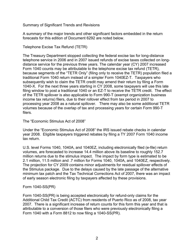Summary of Significant Trends and Revisions

A summary of the major trends and other significant factors embedded in the return forecasts for this edition of Document 6292 are noted below.

Telephone Excise Tax Refund (TETR)

The Treasury Department stopped collecting the federal excise tax for long-distance telephone service in 2006 and in 2007 issued refunds of excise taxes collected on longdistance service for the previous three years. The calendar year (CY) 2007 increased Form 1040 counts may be attributable to the telephone excise tax refund (TETR), because segments of the "TETR Only" (filing only to receive the TETR) population filed a traditional Form 1040 return instead of a simpler Form 1040EZ-T. Taxpayers who subsequently wish to claim the TETR credit may amend their return by filing a Form 1040-X. For the next three years starting in CY 2008, some taxpayers will use this late filing window to post a traditional 1040 or an EZ-T to receive the TETR credit. The effect of the TETR spillover is also applicable to Form 990-T (exempt organization business income tax returns) filers, due to their rollover effect from tax period in 2007 to processing year 2008 as a natural spillover. There may also be some additional TETR volumes because of the overlap of tax and processing years for certain Form 990-T filers.

The "Economic Stimulus Act of 2008"

Under the "Economic Stimulus Act of 2008" the IRS issued rebate checks in calendar year 2008. Eligible taxpayers triggered rebates by filing a TY 2007 Form 1040 income tax return.

U.S. level Forms 1040, 1040A, and 1040EZ, including electronically filed (e-file) return volumes, are forecasted to increase 14.4 million above its baseline to roughly 152.7 million returns due to the stimulus impact. The impact by form type is estimated to be 2.1 million, 11.5 million and .7 million for Forms 1040, 1040A, and 1040EZ, respectively. The projection for CY 2009 contains minor adjustments for residual spillover effects of the Stimulus package. Due to the delays caused by the late passage of the alternative minimum tax patch and the Tax Technical Corrections Act of 2007, there was an impact of early season electronic filing by taxpayers affected by these provisions.

#### Form 1040-SS(PR)

Form 1040-SS(PR) is being accepted electronically for refund-only claims for the Additional Child Tax Credit (ACTC) from residents of Puerto Rico as of 2008, tax year 2007. There is a significant increase of return counts for this form this year and that is attributable to a conversion of those filers who were previously electronically filing a Form 1040 with a Form 8812 to now filing a 1040-SS(PR).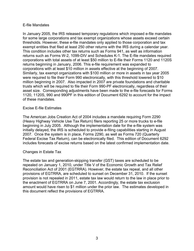#### E-file Mandates

In January 2005, the IRS released temporary regulations which imposed e-file mandates for some large corporations and tax exempt organizations whose assets exceed certain thresholds. However, these e-file mandates only applied to those corporation and tax exempt entities that filed at least 250 other returns with the IRS during a calendar year. This condition includes other tax returns such as Forms 941, as well as information returns such as Forms W-2, 1099-DIV and Schedules K-1. The E-file mandates required corporations with total assets of at least \$50 million to E-file their Forms 1120 and 1120S returns beginning in January, 2006. This e-file requirement was expanded to corporations with at least \$10 million in assets effective at the beginning of 2007. Similarly, tax exempt organizations with \$100 million or more in assets in tax year 2005 were required to file their Form 990 electronically, with this threshold lowered to \$10 million beginning in 2007. Also impacted in 2007 are private foundations and charitable trusts which will be required to file their Form 990-PF electronically, regardless of their asset size. Corresponding adjustments have been made to the e-file forecasts for Forms 1120, 1120S, 990 and 990PF in this edition of Document 6292 to account for the impact of these mandates.

#### Excise E-file Estimates

The American Jobs Creation Act of 2004 includes a mandate requiring Form 2290 (Heavy Highway Vehicle Use Tax Return) filers reporting 25 or more trucks to e-file beginning in July 2005. Although the implementation date for the e-file system was initially delayed, the IRS is scheduled to provide e-filing capabilities starting in August 2007. Once the system is in place, Forms 2290, as well as Forms 720 (Quarterly Federal Excise Tax Return), can be electronically filed. This edition of Document 6292 includes forecasts of excise returns based on the latest confirmed implementation date.

#### Changes in Estate Tax

The estate tax and generation-skipping transfer (GST) taxes are scheduled to be repealed on January 1, 2010, under Title V of the Economic Growth and Tax Relief Reconciliation Act of 2001 (EGTRRA). However, the estate tax repeal, and all other provisions of EGTRRA, are scheduled to sunset on December 31, 2010. If the sunset provision is not repealed in 2011, estate tax law would return to the law in place prior to the enactment of EGTRRA on June 7, 2001. Accordingly, the estate tax exclusion amount would have risen to \$1 million under the prior law. The estimates developed in this document reflect the provisions of EGTRRA.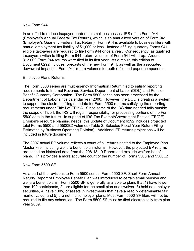#### New Form 944

In an effort to reduce taxpayer burden on small businesses, IRS offers Form 944 (Employer's Annual Federal Tax Return), which is an annualized version of Form 941 (Employer's Quarterly Federal Tax Return). Form 944 is available to business filers with annual employment tax liability of \$1,000 or less. Instead of filing quarterly Forms 941, eligible taxpayers are required to file Form 944 once a year. Consequently, as qualified taxpayers switch to filing Form 944, return volumes of Form 941 will drop. Around 313,000 Form 944 returns were filed in its first year. As a result, this edition of Document 6292 includes forecasts of the new Form 944, as well as the associated downward impact on Form 941 return volumes for both e-file and paper components.

#### Employee Plans Returns

The Form 5500 series are multi-agency Information Return filed to satisfy reporting requirements to Internal Revenue Service, Department of Labor (DOL), and Pension Benefit Guaranty Corporation. The Form 5500 series has been processed by the Department of Labor since calendar year 2000. However, the DOL is creating a system to support the electronic filing mandate for Form 5500 returns satisfying the reporting requirements under Title I of ERISA. Since some of the IRS data needed falls outside the scope of Title I, the IRS will regain responsibility for processing portions of the Form 5500 data in the future. In support of IRS Tax Exempt/Government Entities (TE/GE) Division's resource planning needs, this update of Document 6292 includes projected total Forms 5500 and 5500EZ volumes (Table 2, Selected Fiscal Year Return Filing Estimates by Business Operating Division). Additional EP returns projections will be included in future documents.

The 2007 actual EP volume reflects a count of all returns posted to the Employee Plan Master File, including welfare benefit plan returns. However, the projected EP returns are based on historical data from the 208-18-10 Report and exclude welfare benefit plans. This provides a more accurate count of the number of Forms 5500 and 5500EZ.

#### New Form 5500-SF

As a part of the revisions to Form 5500 series, Form 5500-SF, Short Form Annual Return/ Report of Employee Benefit Plan was introduced to certain small pension and welfare benefit plans. Form 5500-SF is generally available to plans that 1) have fewer than 100 participants, 2) are eligible for the small plan audit waiver, 3) hold no employer securities, 4) have 100% of assets in investments that have a readily determinable fair market value, and 5) are not multiemployer plans. Most Form 5500-SF filers will not be required to file any schedules. The Form 5500-SF must be filed electronically from plan year 2009.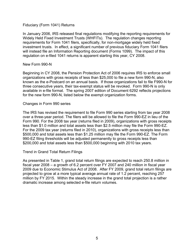#### Fiduciary (Form 1041) Returns

In January 2006, IRS released final regulations modifying the reporting requirements for Widely Held Fixed Investment Trusts (WHFITs). The regulation changes reporting requirements for Form 1041 filers, specifically, for non-mortgage widely held fixed investment trusts. In effect, a significant number of previous fiduciary Form 1041 filers will instead file an Information Reporting document (Forms 1099). The impact of this regulation on e-filed 1041 returns is apparent starting this year, CY 2008.

#### New Form 990-N

Beginning in CY 2008, the Pension Protection Act of 2006 requires IRS to enforce small organizations with gross receipts of less than \$25,000 to file a new form 990-N, also known as the e-Postcard on an annual basis. If those organizations fail to file F990-N for three consecutive years, their tax-exempt status will be revoked. Form 990-N is only available in e-file format. The spring 2007 edition of Document 6292 reflects projections for the new form 990-N, listed below the exempt organization forms.

#### Changes in Form 990 series

The IRS has revised the requirement to file Form 990 series starting from tax year 2008 over a three-year period. The filers will be allowed to file the Form 990-EZ in lieu of the Form 990. For the 2008 tax year (returns filed in 2009), organizations with gross receipts less than \$1.0 million and total assets less than \$2.5 million may file the Form 990-EZ. For the 2009 tax year (returns filed in 2010), organizations with gross receipts less than \$500,000 and total assets less than \$1.25 million may file the Form 990-EZ. The Form 990-EZ filing thresholds will be adjusted permanently to gross receipts less than \$200,000 and total assets less than \$500,000 beginning with 2010 tax years.

#### Trend in Grand Total Return Filings

As presented in Table 1, grand total return filings are expected to reach 250.8 million in fiscal year 2008 – a growth of 6.2 percent over FY 2007 and 240 million in fiscal year 2009 due to Economic Stimulus Act of 2008. After FY 2009, grand total return filings are projected to grow at a more typical average annual rate of 1.2 percent, reaching 257 million by FY 2015. Within the steady increase in the grand total projection is a rather dramatic increase among selected e-file return volumes.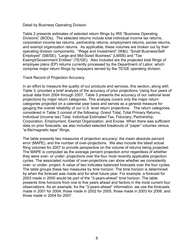#### Detail by Business Operating Division

Table 2 presents estimates of selected return filings by IRS "Business Operating Divisions" (BODs). The selected returns include total individual income tax returns, corporation income tax returns, partnership returns, employment returns, excise returns, and exempt organization returns. As applicable, these volumes are broken out by their operating division components: "Wage and Investment" (W&I), "Small Business/Self Employed" (SB/SE), "Large and Mid-Sized Business" (LMSB) and "Tax Exempt/Government Entities" (TE/GE). Also included are the projected total filings of employee plans (EP) returns currently processed by the Department of Labor, which comprise major return filings by taxpayers served by the TE/GE operating division.

#### Track Record of Projection Accuracy

In an effort to measure the quality of our products and services, this section, along with Table 3, provides a brief analysis of the accuracy of prior projections. Using four years of actual data from 2004 through 2007, Table 3 presents the accuracy of our national level projections by major return categories. This analysis covers only the major return categories projected on a calendar year basis and serves as a general measure for gauging the overall reliability of our U.S. level return projections. The return categories considered in Table 3 consist of the following: Grand Total, Total Primary Returns, Individual (income tax) Total, Individual Estimated Tax, Fiduciary, Partnership, Corporation, Employment, Exempt Organization, and Excise. When there was sufficient data on prior forecasts, we also included selected breakouts of "paper" volumes versus "e-file/magnetic tape" filings.

The table presents two measures of projection accuracy; the mean absolute percent error (MAPE), and the number of over-projections. We also include the latest actual filing volumes for 2007 to provide perspective on the volume of returns being projected. The MAPE is computed as the average percent projection error regardless of whether they were over- or under- projections over the four most recently applicable projection cycles. The associated number of over-projections can show whether we consistently over- or under- project. A value of two indicates balanced forecasts over the four cycles. The table groups these two measures by time horizon. The time horizon is determined by when the forecast was made and for what future year. For example, a forecast for 2003 made in 2000 would be part of the "3-years-ahead" time horizon. The table presents time horizons from one to five years ahead and factors in the most current four observations. As an example, for the "3-years-ahead" information, we use the forecasts made in 2001 for 2004, those made in 2002 for 2005, those made in 2003 for 2006, and those made in 2004 for 2007.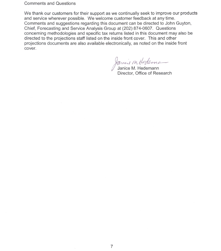**Comments and Questions** 

We thank our customers for their support as we continually seek to improve our products and service wherever possible. We welcome customer feedback at any time. Comments and suggestions regarding this document can be directed to John Guyton, Chief, Forecasting and Service Analysis Group at (202) 874-0607. Questions concerning methodologies and specific tax returns listed in this document may also be directed to the projections staff listed on the inside front cover. This and other projections documents are also available electronically, as noted on the inside front cover.

Janeir M. Hedemann<br>Janice M. Hedemann<br>Director, Office of Research

 $\epsilon$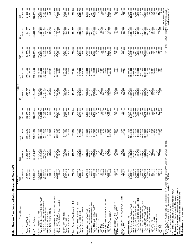| Table 1. Fiscal Year Projections of the Number of Returns to be Filed with IRS                                                                                                                                                                                                                             |                                                                                                                           |                                                                                                                             |                                                                                                                                               |                                                                                                                              |                                                                                                                               |                                                                                                                                         |                                                                                                                                             |                                                                                                                                                        |                                                                                                                                             |
|------------------------------------------------------------------------------------------------------------------------------------------------------------------------------------------------------------------------------------------------------------------------------------------------------------|---------------------------------------------------------------------------------------------------------------------------|-----------------------------------------------------------------------------------------------------------------------------|-----------------------------------------------------------------------------------------------------------------------------------------------|------------------------------------------------------------------------------------------------------------------------------|-------------------------------------------------------------------------------------------------------------------------------|-----------------------------------------------------------------------------------------------------------------------------------------|---------------------------------------------------------------------------------------------------------------------------------------------|--------------------------------------------------------------------------------------------------------------------------------------------------------|---------------------------------------------------------------------------------------------------------------------------------------------|
| Type of Return                                                                                                                                                                                                                                                                                             | Actual - FY<br>2007                                                                                                       | 250,795,800<br>2008                                                                                                         | 2009                                                                                                                                          | 2010                                                                                                                         | Projected<br>2011                                                                                                             | 2012                                                                                                                                    | 2013                                                                                                                                        | 2014                                                                                                                                                   | 2015                                                                                                                                        |
| Paper Grand Total<br>Grand Tota                                                                                                                                                                                                                                                                            | 236,167,632<br>145,502,924                                                                                                | 150,289,600                                                                                                                 | 136, 153, 400<br>104, 075, 600<br>240,229,000                                                                                                 | 132,050,400<br>243,032,700                                                                                                   | 128,527,700<br>117,366,300<br>245,894,000                                                                                     | 126,421,400<br>123,156,300<br>249,577,700                                                                                               | 124,559,400<br>252,736,400                                                                                                                  | 122,841,300<br>132,512,200<br>255,353,500                                                                                                              | 121,441,200<br>136,420,900<br>257,862,200                                                                                                   |
| Electronic Grand Total                                                                                                                                                                                                                                                                                     | 90,664,708                                                                                                                | 100,506,200                                                                                                                 |                                                                                                                                               | 110,982,300                                                                                                                  |                                                                                                                               |                                                                                                                                         | 128,177,000                                                                                                                                 |                                                                                                                                                        |                                                                                                                                             |
| <b>Total Primary Returns</b>                                                                                                                                                                                                                                                                               | 216,011,017                                                                                                               | 230,210,900                                                                                                                 | 218,470,000                                                                                                                                   | 220, 193, 800                                                                                                                | 221,944,600                                                                                                                   | 224,616,400                                                                                                                             | 226,828,300                                                                                                                                 | 228,603,800                                                                                                                                            | 230,350,500                                                                                                                                 |
| Forms 1040, 1040-A, and 1040-EZ, Total *<br>Paper Forms 1040/1040-A/1040-EZ<br>Electronic Individual Returns<br>Forms 1040-PR and 1040-SS<br>Individual Income Tax, Total<br>Forms 1040-NR/NR-EZ/C                                                                                                         | 137,440,356<br>57,836,431<br>79,603,925<br>138,203,004<br>639,104<br>123,544                                              | 152, 147, 500<br>63,838,600<br>88,309,000<br>646,600<br>223,300<br>153,017,500                                              | 140,868,000<br>139,950,800<br>49,773,000<br>90,177,800<br>677,000<br>240,200                                                                  | 45,282,500<br>95,329,200<br>701,300<br>141,566,700<br>140,611,700<br>253,700                                                 | 142,263,600<br>141,272,700<br>41,143,100<br>100,129,600<br>723,800<br>267,200                                                 | 143,827,100<br>142,800,200<br>38,243,300<br>104,556,900<br>746,300<br>280,700                                                           | 768,700<br>144,982,700<br>143,919,800<br>35,532,500<br>108,387,300<br>294,200                                                               | 144,621,100<br>32,993,200<br>111,628,000<br>791,200<br>307,700<br>145,720,000                                                                          | 146,432,800<br>145,297,900<br>30,773,400<br>114,524,500<br>813,700<br>321,100                                                               |
| Individual Estimated Tax, Form 1040-ES, Total<br>Electronic (Credit Card) Form 1040-ES<br>Paper Form 1040-ES                                                                                                                                                                                               | 29,904,310<br>29,995,977<br>91,667                                                                                        | 29,433,000<br>29,331,700<br>101,400                                                                                         | 29,388,800<br>29,274,700<br>114,100                                                                                                           | 29,754,200<br>29,627,000<br>127,200                                                                                          | 30,145,200<br>30,004,400<br>140,800                                                                                           | 30,535,700<br>30,380,900<br>154,800                                                                                                     | 169,200<br>30,925,800<br>30,756,600                                                                                                         | 31,315,600<br>31,131,500<br>184,100                                                                                                                    | 31,704,900<br>31,505,600<br>199,300                                                                                                         |
| Fiduciary, Form 1041, Total<br>Electronic Form 1041<br>Paper Form 1041                                                                                                                                                                                                                                     | 3,717,790<br>2,337,514<br>1,380,276                                                                                       | 3,178,600<br>2,429,700<br>748,800                                                                                           | 3,188,300<br>2,421,000<br>767,400                                                                                                             | 3,258,000<br>2,465,300                                                                                                       | 3,327,700<br>,509,600<br>818,100<br>$\mathbf{N}$                                                                              | 3,397,400<br>2,553,900<br>843,500                                                                                                       | 868,900<br>3,467,100<br>2,598,300                                                                                                           | 3,536,800<br>2,642,600<br>642,600<br>894,200                                                                                                           | 3,606,500<br>2,686,900<br>919,600                                                                                                           |
| Fiduciary Estimated Tax, Form 1041-ES                                                                                                                                                                                                                                                                      | 779,979                                                                                                                   | 777,600                                                                                                                     | 774,500                                                                                                                                       | 774,500                                                                                                                      | 774,500                                                                                                                       | 774,500                                                                                                                                 | 774,500                                                                                                                                     | 774,500                                                                                                                                                | 774,500                                                                                                                                     |
| Partnership, Forms 1065/1065-B, Total<br>Electronic Forms 1065/1065-B<br>Paper Forms 1065/1065-B                                                                                                                                                                                                           | 3,096,964<br>2,665,467<br>431,497                                                                                         | 3,314,800<br>2,672,300<br>642,600                                                                                           | 3,521,300<br>2,667,500<br>853,800                                                                                                             | ,724,900<br>2,676,800<br>,048,100<br>∞                                                                                       | 2,713,500<br>,925,600<br>,212,100<br>ო                                                                                        | 4,107,700<br>2,767,600<br>1,340,100                                                                                                     | 4,281,900<br>2,839,800<br>1,442,100                                                                                                         | 4,452,000<br>2,925,500<br>1,526,500                                                                                                                    | 4,618,000<br>3,018,700<br>1,599,300                                                                                                         |
| Forms 1120-FSC/L/ND/PC/REIT/RIC/SF ****<br>Electronic Corporation Returns, Total<br>Forms 1120 and 1120-A, Total **<br>Paper Corporation Returns, Total<br>Corporation Income Tax, Total<br>Electronic Form 1120-S<br>Electronic Form 1120<br>Form 1120-C ***<br>Form 1120-H<br>Form 1120-F<br>Form 1120-S | 6,572,839<br>5,725,824<br>847,015<br>2,218,469<br>226,530<br>3,228<br>27,765<br>23,998<br>4,098,695<br>200,684<br>620,485 | 6,782,500<br>5,496,500<br>1,285,900<br>2,196,400<br>334,400<br>3,500<br>28,300<br>214,600<br>24,400<br>4,315,300<br>951,600 | 6,983,700<br>5,138,400<br>2,187,200<br>474,500<br>3,500<br>226,100<br>24,600<br>513,200<br>,983,700<br>1,845,400<br>29,100<br>1,370,900<br>4. | 2,386,000<br>2,178,500<br>237,700<br>25,400<br>4,711,200<br>,185,900<br>4,799,900<br>610,700<br>3,400<br>29,800<br>1,775,300 | 4,561,100<br>2,827,000<br>2,169,800<br>717,800<br>3,400<br>30,500<br>4,909,100<br>7,388,100<br>249,200<br>26,100<br>2,109,200 | 435,000<br>5,099,100<br>583,900<br>3,148,900<br>2,162,700<br>789,800<br>3,400<br>31,200<br>260,700<br>26,800<br>359,100<br>4.<br>$\sim$ | 832,400<br>3,300<br>272,300<br>27,600<br>4,399,500<br>3,378,300<br>2,156,100<br>32,000<br>5,286,500<br>7,777,700<br>545,800<br>$\mathbf{a}$ | 4,423,800<br>855,300<br>3,300<br>283,800<br>28,300<br>5,473,200<br>7,970,800<br>3,547,000<br>2,149,600<br>32,700<br>691,700<br>$\overline{\mathsf{N}}$ | 8,163,100<br>4,483,300<br>3,679,800<br>2,143,000<br>866,500<br>5,659,100<br>3,200<br>33,400<br>295,400<br>29,000<br>813,400<br>$\mathbf{a}$ |
| Small Corporation Election, Form 2553<br>'REMIC" Income Tax, Form 1066                                                                                                                                                                                                                                     | 525,269<br>30,193                                                                                                         | 510,300<br>29,000                                                                                                           | 502,500<br>27,600                                                                                                                             | 494,700<br>27,900                                                                                                            | 486,900<br>28,600                                                                                                             | 479,100<br>29,400                                                                                                                       | 471,300<br>30,000                                                                                                                           | 463,500<br>30,800                                                                                                                                      | 455,700<br>31,600                                                                                                                           |
| Estate, Forms 706, 706NA/GS(D)/GS(T), Total<br>Gift, Form 709                                                                                                                                                                                                                                              | 49,924<br>252,522                                                                                                         | 45,100<br>253,800                                                                                                           | 44,200<br>252,100                                                                                                                             | 30,700<br>253,200                                                                                                            | 16,400<br>260,000                                                                                                             | 70,000<br>277,700                                                                                                                       | 105,600<br>292,800                                                                                                                          | 116,600<br>303,200                                                                                                                                     | 122,600<br>311,100                                                                                                                          |
| Paper Employment Returns, Total<br>Electronic Employment Returns, Total<br>Forms 940 ,940-EZ and 940-PR, Total<br>Employment Tax, Total                                                                                                                                                                    | 24,810,704<br>5,898,493<br>6,145,064<br>30,709,197                                                                        | 24,486,000<br>6,150,600<br>6,153,800<br>30,636,600                                                                          | 30,656,600<br>24,320,400<br>6,336,200<br>6,183,300                                                                                            | 24,277,500<br>6,549,600<br>6,257,000<br>30,827,100                                                                           | 31,046,600<br>24,267,500<br>6,779,200<br>6,348,300                                                                            | 31,209,200<br>24,204,000<br>7,005,200<br>6,427,200                                                                                      | 31,326,600<br>24,101,700<br>7,224,900<br>6,479,400                                                                                          | 31,440,700<br>23,994,200<br>7,446,600<br>6,519,700                                                                                                     | 31,577,600<br>23,901,400<br>7,676,200<br>6,557,400                                                                                          |
| Paper Forms 940, 940-EZ and 940-PR<br>Forms 941, 941-PR and 941-SS, Total<br>Form 940 E-File/On-line/XML                                                                                                                                                                                                   | 5,045,220<br>1,099,844<br>23,866,149                                                                                      | 4,971,700<br>1, 182, 100<br>23, 685, 400                                                                                    | 4,938,500<br>1,244,800<br>23,567,900                                                                                                          | 4,939,700<br>1,317,300                                                                                                       | 4,953,400<br>1,395,000<br>23,654,800                                                                                          | 4,955,900<br>1,471,300<br>23,714,800                                                                                                    | 4,936,600<br>1,542,900<br>23,766,700                                                                                                        | 4,907,200<br>1,612,500<br>23,833,400                                                                                                                   | 4,875,200<br>1,682,300                                                                                                                      |
| Paper 941, 941-PR/SS, Total<br>Form 941 E-File/On-line/XML                                                                                                                                                                                                                                                 | 19,076,730<br>4,789,419                                                                                                   | 18,729,200<br>4,956,200<br>243,600                                                                                          | 18,492,200<br>5,075,700                                                                                                                       | 23,585,800<br>18,371,800<br>5,214,000                                                                                        | 18,290,700<br>5,364,100                                                                                                       | 18,201,900<br>5,512,900                                                                                                                 | 18,106,200<br>5,660,500                                                                                                                     | 18,021,200<br>5,812,200                                                                                                                                | 23,929,100<br>17,957,300                                                                                                                    |
| Forms 943, 943 PR and 943SS<br>Form 944, Tota                                                                                                                                                                                                                                                              | 248,369<br>313,151<br>303,921                                                                                             | 422,200<br>409,800                                                                                                          | 237,500<br>540,400<br>524,700                                                                                                                 | 232,100<br>628,200<br>610,000                                                                                                | 227,300<br>695,100<br>675,000                                                                                                 | 223,200<br>725,600<br>704,600<br>21,000                                                                                                 | 219,500<br>744,800                                                                                                                          | 216,300<br>757,000<br>735,200                                                                                                                          | 5,971,800<br>213,500<br>764,900<br>742,900                                                                                                  |
| Electronic Form 944<br>Paper Form 944                                                                                                                                                                                                                                                                      | 9,230                                                                                                                     | 12,400                                                                                                                      | 15,700                                                                                                                                        | 18,200                                                                                                                       | 20,100                                                                                                                        |                                                                                                                                         | 723,200<br>21,500                                                                                                                           | 21,900                                                                                                                                                 | 22,100                                                                                                                                      |
| Form CT-1<br>Form 945                                                                                                                                                                                                                                                                                      | 134,644<br>1,820                                                                                                          | 129,800<br>1,900                                                                                                            | 125,700<br>1,900                                                                                                                              | 122,200<br>1,900                                                                                                             | 119,100<br>1,900                                                                                                              | 116,500<br>1,900                                                                                                                        | 114,300<br>900                                                                                                                              | 1,900<br>112,400                                                                                                                                       | 110,700<br>1,900                                                                                                                            |
| * Forms 1040, 1040-A and 1040-EZ Total includes the marginal effects of the 2008 Economic Stimulus<br>** Form 1120-A cannot be filed for tax years beginning after Dec. 31, 2006.<br>*** Form 1120-C includes Form 990-C.<br>**** 1120-ND return counts were estimated for FY2007.<br>Notes:<br>j          |                                                                                                                           |                                                                                                                             | Package                                                                                                                                       |                                                                                                                              |                                                                                                                               |                                                                                                                                         |                                                                                                                                             | Office of Research, Forecasting and Service Analysis<br>Fall 2008 Document 6292                                                                        | Internal Revenue Service                                                                                                                    |

Table does not contain Non-Master File counts.<br>See Table Notes page for definitions of "Type of Return."<br>Detail may not add to subtotal/total due to rounding.<br>Table continues on the next page. Table does not contain Non-Master File counts.

See Table Notes page for definitions of "Type of Return." Detail may not add to subtotal/total due to rounding.

Table continues on the next page.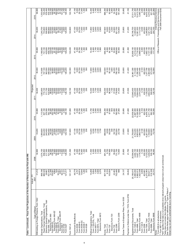|                                                                                                                            | Actual - FY                                                                                                                                                                                                                                                                             |                         |                         |                         | Projected               |                                                                                                                                                                                                                                                                                                               |                         |                                                      |                                                                                                                                                                                                                                                                     |
|----------------------------------------------------------------------------------------------------------------------------|-----------------------------------------------------------------------------------------------------------------------------------------------------------------------------------------------------------------------------------------------------------------------------------------|-------------------------|-------------------------|-------------------------|-------------------------|---------------------------------------------------------------------------------------------------------------------------------------------------------------------------------------------------------------------------------------------------------------------------------------------------------------|-------------------------|------------------------------------------------------|---------------------------------------------------------------------------------------------------------------------------------------------------------------------------------------------------------------------------------------------------------------------|
| Type of Return                                                                                                             | 2007                                                                                                                                                                                                                                                                                    | 2008                    | 2009                    | 2010                    | 2011                    | 2012                                                                                                                                                                                                                                                                                                          | 2013                    | 2014                                                 | 2015                                                                                                                                                                                                                                                                |
| Withholding on Foreign Persons, Form 1042                                                                                  | 31,212                                                                                                                                                                                                                                                                                  | 32,600                  | 33,200                  | 33,800                  | 34,400                  | 35,000                                                                                                                                                                                                                                                                                                        | 35,600                  | 36,200                                               | 36,800                                                                                                                                                                                                                                                              |
| Paper Exempt Organizations, Total<br>Exempt Organizations, Total                                                           | 398,196<br>869,529                                                                                                                                                                                                                                                                      | 1,074,100<br>856,800    | 1,089,600<br>844,200    | 1,113,500<br>837,100    | 1,083,800<br>772,100    | ,110,600<br>747,100                                                                                                                                                                                                                                                                                           | 741,100<br>1,166,900    | 240,700<br>733,800                                   | 1,303,600<br>725,200                                                                                                                                                                                                                                                |
| Electronic Exempt Organizations, Total                                                                                     | 28,667                                                                                                                                                                                                                                                                                  |                         | 245,400                 | 276,500                 | 311,700                 | 363,500                                                                                                                                                                                                                                                                                                       | 425,800                 | 506,900                                              | 578,400                                                                                                                                                                                                                                                             |
| Form 990, Total<br>Electronic Form 990<br>Form 990-NF<br>Electronic Form 990-EZ<br>Form 990-NF<br>Form 990-T<br>Form 990-T | $\begin{array}{r} 431,405 \\ 21,346 \\ 155,091 \\ 4,664 \\ 80,001 \\ 90,001 \\ 121,121 \\ 121,121 \\ 121,121 \\ 122,122 \\ 123,123 \\ 124,124 \\ 125,124 \\ 126,125 \\ 127,126 \\ 128,129 \\ 129,120 \\ 129,120 \\ 120,120 \\ 120,120 \\ 121,120 \\ 122,120 \\ 123,120 \\ 124,120 \\ 1$ |                         |                         |                         |                         | $\begin{array}{l} 44.59 \\ 4.79 \\ 4.80 \\ 4.60 \\ 4.79 \\ 6.60 \\ 7.80 \\ 8.60 \\ 7.80 \\ 8.60 \\ 7.80 \\ 8.60 \\ 7.80 \\ 7.80 \\ 7.80 \\ 7.80 \\ 7.80 \\ 7.80 \\ 7.80 \\ 7.80 \\ 7.80 \\ 7.80 \\ 7.80 \\ 7.80 \\ 7.80 \\ 7.80 \\ 7.80 \\ 7.80 \\ 7.80 \\ 7.80 \\ 7.80 \\ 7.80 \\ 7.80 \\ 7.80 \\ 7.80 \\ 7$ |                         | 45508800886<br>@888866666<br>@888866666              | $\begin{array}{l} 479.100\\ 79.700\\ 175.700\\ 79.800\\ 79.81\\ 9.700\\ 8.900\\ 77.700\\ 17.700\\ 17.700\\ 18.300\\ 12.81\\ 23.90\\ 12.81\\ 24.81\\ 25.90\\ 12.81\\ 26.300\\ 12.81\\ 28.300\\ 12.81\\ 29.81\\ 20.82\\ 21.82\\ 22.83\\ 23.83\\ 24.83\\ 25.83\\ 26.8$ |
|                                                                                                                            |                                                                                                                                                                                                                                                                                         |                         |                         |                         |                         |                                                                                                                                                                                                                                                                                                               |                         |                                                      |                                                                                                                                                                                                                                                                     |
|                                                                                                                            |                                                                                                                                                                                                                                                                                         |                         |                         |                         |                         |                                                                                                                                                                                                                                                                                                               |                         |                                                      |                                                                                                                                                                                                                                                                     |
|                                                                                                                            |                                                                                                                                                                                                                                                                                         |                         |                         |                         |                         |                                                                                                                                                                                                                                                                                                               |                         |                                                      |                                                                                                                                                                                                                                                                     |
| Form 4720<br>Form 5227                                                                                                     |                                                                                                                                                                                                                                                                                         | 126,000                 |                         | 126,100                 |                         |                                                                                                                                                                                                                                                                                                               | 126,200                 | 126,300                                              |                                                                                                                                                                                                                                                                     |
| Form 1041-A                                                                                                                | 121, 147                                                                                                                                                                                                                                                                                | 121,300                 | 121,600                 | 121,800                 | 122,100                 | 122,300                                                                                                                                                                                                                                                                                                       | 122,400                 | 122,600                                              | 122,700                                                                                                                                                                                                                                                             |
| Government Entity/Bonds                                                                                                    | 46,779                                                                                                                                                                                                                                                                                  | 47,100                  | 47,100                  | 47,100                  | 47,100                  | 47,100                                                                                                                                                                                                                                                                                                        | 47,100                  | 47,100                                               | 47,100                                                                                                                                                                                                                                                              |
| Form 8038-G<br>Form 8038                                                                                                   | 4,757<br>29,874                                                                                                                                                                                                                                                                         | 4,900<br>29,700         | 5,000<br>29,700         | 29,700<br>5,000         | 5,000<br>29,700         | 5,000<br>29,700                                                                                                                                                                                                                                                                                               | 5,000<br>29,700         | 5,000<br>29,700                                      | 5,000<br>29,700                                                                                                                                                                                                                                                     |
| Form 8038-GC                                                                                                               | 10,645                                                                                                                                                                                                                                                                                  | 10,900                  | 11,000                  | 11,000                  | 11,000                  | 11,000                                                                                                                                                                                                                                                                                                        | 11,000                  | 11,000                                               | 11,000                                                                                                                                                                                                                                                              |
| Form 8038-T<br>Form 8328                                                                                                   | 1,280<br>223                                                                                                                                                                                                                                                                            | 1,300<br>200            | 1,300<br>200            | 1,300<br>200            | 1,300<br>200            | 1,300<br>300                                                                                                                                                                                                                                                                                                  | 1,300<br>300            | 1,300<br>300                                         | 1,300<br>300                                                                                                                                                                                                                                                        |
|                                                                                                                            |                                                                                                                                                                                                                                                                                         |                         |                         |                         |                         |                                                                                                                                                                                                                                                                                                               |                         |                                                      |                                                                                                                                                                                                                                                                     |
| Political Organizations, Total<br>Form 1120-POL, Total                                                                     | 5,854<br>10,269                                                                                                                                                                                                                                                                         | 11,500<br>6,200         | 6,300<br>10,200         | 6,300<br>11,700         | 6,300<br>10,300         | 6,300<br>11,800                                                                                                                                                                                                                                                                                               | 6,400<br>10,300         | 6,400<br>11,800                                      | 10,300<br>6,400                                                                                                                                                                                                                                                     |
| Form 8871**                                                                                                                | 1,326                                                                                                                                                                                                                                                                                   | 2,000                   | 1,700                   | 2,000                   | 1,700                   | 2,000                                                                                                                                                                                                                                                                                                         | 1,700                   | 2,000                                                | 1,700                                                                                                                                                                                                                                                               |
| Electronic Form 8872<br>Form 8872, Total                                                                                   | 3,089<br>2,276                                                                                                                                                                                                                                                                          | 3,400                   | 2,300<br>1,700          | 3,400<br>2,600          | 2,300<br>1,800          | 3,400<br>2,800                                                                                                                                                                                                                                                                                                | 2,300<br>1,900          | 3,400<br>2,900                                       | 2,300<br>2,000                                                                                                                                                                                                                                                      |
|                                                                                                                            |                                                                                                                                                                                                                                                                                         | 2,400                   |                         |                         |                         |                                                                                                                                                                                                                                                                                                               |                         |                                                      |                                                                                                                                                                                                                                                                     |
| Excise, Total                                                                                                              | 907,165                                                                                                                                                                                                                                                                                 | 881,200                 | 896,900                 | 904,300                 | 920,300                 | 934,500                                                                                                                                                                                                                                                                                                       | 946,400                 | 957,600                                              | 968,300                                                                                                                                                                                                                                                             |
| Form 11-C<br>Form 720                                                                                                      | 9,153<br>103,054                                                                                                                                                                                                                                                                        | 8,700<br>100,900        | 8,500<br>99,200         | 8,300<br>97,600         | 8,200<br>96,300         | 8,100<br>95,100                                                                                                                                                                                                                                                                                               | 94,100<br>8,000         | 8,000<br>93,200                                      | 7,900                                                                                                                                                                                                                                                               |
| Electronic Form 720                                                                                                        |                                                                                                                                                                                                                                                                                         | 100                     | 300                     | 600                     | 1,100                   | 1,900                                                                                                                                                                                                                                                                                                         | 2,900                   | 4,300                                                | 92,400<br>5,800                                                                                                                                                                                                                                                     |
| Form 2290<br>Form 730                                                                                                      | 42,463<br>752,495                                                                                                                                                                                                                                                                       | 39,800<br>731,700       | 38,700<br>750,500       | 37,800<br>760,500       | 37,000<br>778,800       | 36,200<br>795,100                                                                                                                                                                                                                                                                                             | 35,500<br>808,900       | 821,700<br>34,900                                    | 34,300<br>833,700                                                                                                                                                                                                                                                   |
| Electronic Form 2290                                                                                                       | 686                                                                                                                                                                                                                                                                                     | 13,600                  | 20,700                  | 27,900                  | 41,400                  | 64,600                                                                                                                                                                                                                                                                                                        | 93,500                  | 134,900                                              | 181,400                                                                                                                                                                                                                                                             |
| Excise Taxes re Employee Plans, Form 5330                                                                                  | 24,137                                                                                                                                                                                                                                                                                  | 23,800                  | 23,800                  | 23,800                  | 23,800                  | 23,800                                                                                                                                                                                                                                                                                                        | 23,800                  | 23,800                                               | 23,800                                                                                                                                                                                                                                                              |
| Payment or Refund under Sec. 7519, Form 8752                                                                               | 38,454                                                                                                                                                                                                                                                                                  | 41,700                  | 41,800                  | 41,600                  | 41,500                  | 41,400                                                                                                                                                                                                                                                                                                        | 41,300                  | 41,200                                               | 41,100                                                                                                                                                                                                                                                              |
|                                                                                                                            |                                                                                                                                                                                                                                                                                         |                         |                         |                         |                         |                                                                                                                                                                                                                                                                                                               |                         |                                                      |                                                                                                                                                                                                                                                                     |
| Supplemental Documents, Total<br>Form 1040-X                                                                               | 20,156,615<br>3,995,830                                                                                                                                                                                                                                                                 | 20,584,900<br>4,460,100 | 4,702,200<br>21,758,900 | 22,838,900<br>4,867,900 | 23,949,400<br>5,000,200 | 5,113,000<br>24,961,300                                                                                                                                                                                                                                                                                       | 5,214,400<br>25,908,100 | 26,749,700<br>5,309,500                              | 27,511,700<br>5,401,300                                                                                                                                                                                                                                             |
| Form 4868, Total                                                                                                           | 9,962,813                                                                                                                                                                                                                                                                               | 9,467,300<br>1,779,300  | 9,905,000               | 10,326,900              | 10,844,000              | 11,292,400                                                                                                                                                                                                                                                                                                    | 11,716,300              | 12,081,200                                           |                                                                                                                                                                                                                                                                     |
| Electronic Form 4868                                                                                                       | 1,522,538                                                                                                                                                                                                                                                                               |                         | 1,906,700               | 2,122,600               | 2,370,200               | 2,615,400                                                                                                                                                                                                                                                                                                     | 2,866,400               | 3,113,100<br>3,000                                   | 12,413,700<br>3,360,700<br>3,000                                                                                                                                                                                                                                    |
| Form 1120-X<br>Form 5558                                                                                                   | 3,059<br>403,681                                                                                                                                                                                                                                                                        | 3,100<br>402,000        | 3,100<br>402,000        | 3,100<br>402,000        | 3,100<br>402,000        | 3,100<br>402,000                                                                                                                                                                                                                                                                                              | 402,000<br>3,000        | 402,000                                              | 402,000                                                                                                                                                                                                                                                             |
| Form 7004, Total                                                                                                           | 5,273,063                                                                                                                                                                                                                                                                               | 5,723,200               | 6,201,000               | 6,676,700               | 7,139,200               | 7,577,700                                                                                                                                                                                                                                                                                                     | 7,983,100               | 8,348,800                                            | 8,670,300<br>3,470,600                                                                                                                                                                                                                                              |
| Electronic Form 7004                                                                                                       | 830,611                                                                                                                                                                                                                                                                                 | 1,204,800               | 1,728,800               | 2,211,700               | 2,602,500               | 2,903,900                                                                                                                                                                                                                                                                                                     | 3,137,100               | 3,321,700                                            |                                                                                                                                                                                                                                                                     |
| Electronic Form 8868<br>Form 8868, Total                                                                                   | 518,169<br>25,731                                                                                                                                                                                                                                                                       | 529,100<br>48,500       | 545,600<br>75,700       | 562,300<br>105,500      | 560,800<br>129,100      | 573,200<br>152,900                                                                                                                                                                                                                                                                                            | 589,200<br>177,100      | 605,200<br>200,100                                   | 621,200<br>221,800                                                                                                                                                                                                                                                  |
| Notes:                                                                                                                     |                                                                                                                                                                                                                                                                                         |                         |                         |                         |                         |                                                                                                                                                                                                                                                                                                               |                         |                                                      | Internal Revenue Service                                                                                                                                                                                                                                            |
| * Form 990-N is all electronic.<br>** Form 8871 is all electronic.                                                         |                                                                                                                                                                                                                                                                                         |                         |                         |                         |                         |                                                                                                                                                                                                                                                                                                               |                         | Office of Research, Forecasting and Service Analysis | Fall 2008 Document 6292                                                                                                                                                                                                                                             |
| "WA" signifies that data is not available since relevant program areas have not yet commenced.                             |                                                                                                                                                                                                                                                                                         |                         |                         |                         |                         |                                                                                                                                                                                                                                                                                                               |                         |                                                      |                                                                                                                                                                                                                                                                     |
| Table does not contain Non-Master File counts.                                                                             |                                                                                                                                                                                                                                                                                         |                         |                         |                         |                         |                                                                                                                                                                                                                                                                                                               |                         |                                                      |                                                                                                                                                                                                                                                                     |
| See Table Notes page for definitions of "Type of Return."<br>Detail may not add to subtotal/total due to rounding          |                                                                                                                                                                                                                                                                                         |                         |                         |                         |                         |                                                                                                                                                                                                                                                                                                               |                         |                                                      |                                                                                                                                                                                                                                                                     |
|                                                                                                                            |                                                                                                                                                                                                                                                                                         |                         |                         |                         |                         |                                                                                                                                                                                                                                                                                                               |                         |                                                      |                                                                                                                                                                                                                                                                     |

Table 1 (continued). Fiscal Year Projections of the Number of Returns to be Filed with IRS **Table 1 (continued). Fiscal Year Projections of the Number of Returns to be Filed with IRS**

9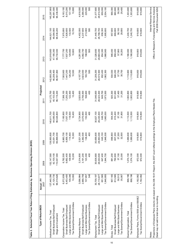| Table 2. Selected Fiscal Year Return Filing Estimates by Business Operating Division (BOD)                                                                                                   |                     |               |             |             |                   |             |             |                                                      |                          |
|----------------------------------------------------------------------------------------------------------------------------------------------------------------------------------------------|---------------------|---------------|-------------|-------------|-------------------|-------------|-------------|------------------------------------------------------|--------------------------|
| Type of Return/BOD                                                                                                                                                                           | Actual - FY<br>2007 | 2008          | 2009        | 2010        | Projected<br>2011 | 2012        | 2013        | 2014                                                 | 2015                     |
| Individual Income Tax, Total                                                                                                                                                                 | 137,440,356         | 152, 147, 500 | 139,950,800 | 140,611,700 | 141,272,700       | 142,800,200 | 143,919,800 | 144,621,100                                          | 145,297,900              |
| Small Business/Self Employed                                                                                                                                                                 | 41,120,730          | 42,100,100    | 43,051,700  | 44,085,000  | 45,153,500        | 46,208,400  | 47,185,300  | 48,084,900                                           | 48,961,500               |
| Wage and Investment                                                                                                                                                                          | 96,319,626          | 110,047,400   | 96,899,000  | 96,526,800  | 96,119,200        | 96,591,800  | 96,734,500  | 96,536,200                                           | 96,336,400               |
| Corporation Income Tax, Total                                                                                                                                                                | 6,572,839           | 6,782,500     | 6,983,700   | 7,185,900   | 7,388,100         | 7,583,900   | 7,777,700   | 7,970,800                                            | 8,163,100                |
| Small Business/Self Employed                                                                                                                                                                 | 6,453,400           | 6,662,400     | 6,859,100   | 7,057,100   | 7,255,200         | 7,447,200   | 7,637,200   | 7,826,600                                            | 8,015,200                |
| Large and Mid-Sized Business                                                                                                                                                                 | 109,346             | 109,900       | 114,400     | 118,500     | 122,400           | 126,200     | 129,900     | 133,500                                              | 137,100                  |
| Tax Exempt/Government Entities                                                                                                                                                               | 10,093              | 10,200        | 10,300      | 10,400      | 10,400            | 10,500      | 10,600      | 10,700                                               | 10,800                   |
| Partnership Returns                                                                                                                                                                          | 3,096,964           | 3,314,800     | 3,521,300   | 3,724,900   | 3,925,600         | 4,107,700   | 4,281,900   | 4,452,000                                            | 4,618,000                |
| Small Business/Self Employed                                                                                                                                                                 | 2,988,759           | 3,191,200     | 3,382,500   | 3,570,900   | 3,756,500         | 3,923,500   | 4,082,700   | 4,237,600                                            | 4,388,500                |
| Large and Mid-Sized Business                                                                                                                                                                 | 107,857             | 123,300       | 138,400     | 153,500     | 168,600           | 183,700     | 198,800     | 213,900                                              | 229,000                  |
| Tax Exempt/Government Entities                                                                                                                                                               | 348                 | 400           | 400         | 400         | 400               | 500         | 500         | 500                                                  | 500                      |
| Employment Tax, Total                                                                                                                                                                        | 30,709,197          | 30,636,600    | 30,656,600  | 30,827,100  | 31,046,600        | 31,209,200  | 31,326,600  | 31,440,700                                           | 31,577,600               |
| Small Business/Self Employed                                                                                                                                                                 | 28,110,677          | 28,044,500    | 28,063,000  | 28,220,400  | 28,423,400        | 28,574,500  | 28,683,400  | 28,788,700                                           | 28,914,500               |
| Large and Mid-Sized Business                                                                                                                                                                 | 651,565             | 647,400       | 645,100     | 646,700     | 649,700           | 652,400     | 654,300     | 656,300                                              | 659,000                  |
| Tax Exempt/Government Entities                                                                                                                                                               | 1,946,955           | 1,944,700     | 1,948,500   | 1,960,000   | 1,973,500         | 1,982,300   | 1,988,900   | 1,995,600                                            | 2,004,100                |
| Excise, Total                                                                                                                                                                                | 907,165             | 881,200       | 896,900     | 904,300     | 920,300           | 934,500     | 946,400     | 957,600                                              | 968,300                  |
| Small Business/Self Employed                                                                                                                                                                 | 813,585             | 790,900       | 807,200     | 815,400     | 831,600           | 846,200     | 858,400     | 869,800                                              | 880,600                  |
| Large and Mid-Sized Business                                                                                                                                                                 | 58,513              | 57,100        | 57,200      | 57,100      | 57,400            | 57,700      | 57,900      | 58,100                                               | 58,300                   |
| Tax Exempt/Government Entities                                                                                                                                                               | 35,067              | 33,300        | 32,500      | 31,800      | 31,200            | 30,700      | 30,200      | 29,800                                               | 29,400                   |
| Exempt Organization, Total                                                                                                                                                                   | 898,196             | 1,074,100     | 1,089,600   | 1,113,500   | 1,083,800         | 1,110,600   | 1,166,900   | 1,240,700                                            | 1,303,600                |
| Tax Exempt/Government Entities                                                                                                                                                               | 898,196             | 1,074,100     | 1,089,600   | 1,113,500   | 1,083,800         | 1,110,600   | 1,166,900   | 1,240,700                                            | 1,303,600                |
| Employee Plans, Forms 5500 and 5500EZ                                                                                                                                                        | 1,182,082           | 972,000       | 919,800     | 919,800     | 919,800           | 919,800     | 919,800     | 919,800                                              | 919,800                  |
| Tax Exempt/Government Entities                                                                                                                                                               | 1,182,082           | 972,000       | 919,800     | 919,800     | 919,800           | 919,800     | 919,800     | 919,800                                              | 919,800                  |
| Notes:                                                                                                                                                                                       |                     |               |             |             |                   |             |             |                                                      | Internal Revenue Service |
| Projections of Employee Plans returns are based on the 208-18-01 Report; the 2007 count reflects postings to the Employee Plans Master File.<br>Detail may not add to total due to rounding. |                     |               |             |             |                   |             |             | Office of Research, Forecasting and Service Analysis | Fall 2008 Document 6292  |
|                                                                                                                                                                                              |                     |               |             |             |                   |             |             |                                                      |                          |

10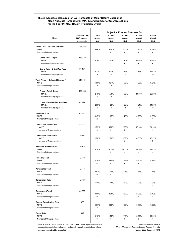#### **Table 3. Accuracy Measures for U.S. Forecasts of Major Return Categories Mean Absolute Percent Error (MAPE) and Number of Overprojections for the Four (4) Most Recent Projection Cycles**

|                                                                                 |                                                      |                          |                           | Projection Error on Forecasts for:                   |                           |                           |
|---------------------------------------------------------------------------------|------------------------------------------------------|--------------------------|---------------------------|------------------------------------------------------|---------------------------|---------------------------|
| Item                                                                            | <b>Calendar Year</b><br>2007 Actual *<br>(thousands) | 1 Year<br>Ahead<br>$N=4$ | 2 Years<br>Ahead<br>$N=4$ | 3 Years<br>Ahead<br>$N=4$                            | 4 Years<br>Ahead<br>$N=4$ | 5 Years<br>Ahead<br>$N=4$ |
| <b>Grand Total - Selected Returns *</b>                                         | 237,383                                              |                          |                           |                                                      |                           |                           |
| <b>MAPE</b>                                                                     |                                                      | 3.46%                    | 3.09%                     | 5.61%                                                | 7.73%                     | 8.37%                     |
| Number of Overprojections                                                       |                                                      | $\overline{2}$           | 4                         | 4                                                    | 4                         | 4                         |
| <b>Grand Total - Paper</b>                                                      | 146,538                                              |                          |                           |                                                      |                           |                           |
| <b>MAPE</b><br>Number of Overprojections                                        |                                                      | 5.29%<br>2               | 4.93%<br>3                | 8.61%<br>4                                           | 14.03%<br>4               | 19.05%<br>4               |
|                                                                                 |                                                      |                          |                           |                                                      |                           |                           |
| Grand Total - E-file/ Mag Tape<br><b>MAPE</b>                                   | 89,174                                               | 2.33%                    | 2.11%                     | 5.63%                                                | 7.83%                     | 14.61%                    |
| Number of Overprojections                                                       |                                                      | $\overline{2}$           | 1                         | $\overline{2}$                                       | $\overline{2}$            | 0                         |
| Total Primary - Selected Returns *                                              | 217,161                                              |                          |                           |                                                      |                           |                           |
| <b>MAPE</b><br>Number of Overprojections                                        |                                                      | 1.66%<br>$\overline{2}$  | 3.24%<br>3                | 5.70%<br>4                                           | 7.98%<br>4                | 8.57%<br>4                |
|                                                                                 |                                                      |                          |                           |                                                      |                           |                           |
| <b>Primary Total - Paper</b><br><b>MAPE</b>                                     | 129,388                                              | 2.48%                    | 5.70%                     | 8.70%                                                | 14.97%                    | 20.29%                    |
| Number of Overprojections                                                       |                                                      | $\overline{2}$           | 3                         | 4                                                    | 4                         | 4                         |
| Primary Total - E-file/ Mag Tape                                                | 87,774                                               |                          |                           |                                                      |                           |                           |
| <b>MAPE</b>                                                                     |                                                      | 2.03%                    | 1.93%                     | 5.57%                                                | 7.51%                     | 14.28%                    |
| Number of Overprojections                                                       |                                                      | $\overline{2}$           | 1                         | 2                                                    | $\overline{2}$            | 0                         |
| <b>Individual Total</b>                                                         | 138,471                                              |                          |                           |                                                      |                           |                           |
| <b>MAPE</b><br>Number of Overprojections                                        |                                                      | 0.47%<br>$\overline{2}$  | 1.67%<br>3                | 2.70%<br>4                                           | 3.20%<br>4                | 2.83%<br>4                |
|                                                                                 |                                                      |                          |                           |                                                      |                           |                           |
| <b>Individual Total - Paper</b><br>MAPE                                         | 57,863                                               | 1.79%                    | 5.72%                     | 7.90%                                                | 13.96%                    | 21.15%                    |
| Number of Overprojections                                                       |                                                      | 3                        | 3                         | 3                                                    | 4                         | 4                         |
| Individual Total - E-file                                                       | 79,862                                               |                          |                           |                                                      |                           |                           |
| <b>MAPE</b>                                                                     |                                                      | 1.78%                    | 2.78%                     | 5.59%                                                | 8.66%                     | 16.97%                    |
| Number of Overprojections                                                       |                                                      | 2                        | 1                         | $\overline{2}$                                       | 1                         | 0                         |
| <b>Individual Estimated Tax</b>                                                 | 30,897                                               |                          |                           |                                                      |                           |                           |
| <b>MAPE</b><br>Number of Overprojections                                        |                                                      | 8.20%<br>2               | 18.15%<br>3               | 29.77%<br>4                                          | 42.98%<br>4               | 47.83%<br>4               |
|                                                                                 |                                                      |                          |                           |                                                      |                           |                           |
| <b>Fiduciary Total</b><br><b>MAPE</b>                                           | 3,730                                                | 2.70%                    | 3.85%                     | 4.76%                                                | 5.30%                     | 5.73%                     |
| Number of Overprojections                                                       |                                                      | 4                        | 4                         | 4                                                    | 4                         | 3                         |
| <b>Partnership Total</b>                                                        | 3,147                                                |                          |                           |                                                      |                           |                           |
| <b>MAPE</b>                                                                     |                                                      | 2.53%                    | 4.09%<br>0                | 7.04%<br>1                                           | 7.51%<br>$\mathbf{1}$     | 7.47%                     |
| Number of Overprojections                                                       |                                                      | 0                        |                           |                                                      |                           | 1                         |
| <b>Corporation Total</b><br><b>MAPE</b>                                         | 6.620                                                | 1.28%                    | 1.48%                     | 2.57%                                                | 3.98%                     | 4.08%                     |
| Number of Overprojections                                                       |                                                      | 2                        | 2                         | $\overline{\mathbf{c}}$                              | 1                         | 2                         |
| <b>Employment Total</b>                                                         | 30,395                                               |                          |                           |                                                      |                           |                           |
| <b>MAPE</b>                                                                     |                                                      | 3.58%                    | 2.28%                     | 2.52%                                                | 2.86%                     | 2.42%                     |
| Number of Overprojections                                                       |                                                      | 0                        | 1                         | 1                                                    | 0                         | 1                         |
| <b>Exempt Organization Total</b>                                                | 877                                                  |                          |                           |                                                      |                           |                           |
| <b>MAPE</b><br>Number of Overprojections                                        |                                                      | 4.07%<br>2               | 2.86%<br>$\mathbf{1}$     | 3.03%<br>3                                           | 6.78%<br>3                | 7.08%<br>2                |
|                                                                                 |                                                      |                          |                           |                                                      |                           |                           |
| <b>Excise Total</b><br><b>MAPE</b>                                              | 895                                                  | 3.18%                    | 4.55%                     | 7.18%                                                | 8.07%                     | 11.99%                    |
| Number of Overprojections                                                       |                                                      | 3                        | 3                         | 3                                                    | 3                         | 4                         |
| Some actuals shown in this table differ from official counts reported elsewhere |                                                      |                          |                           |                                                      |                           | Internal Revenue Service  |
| because they exclude certain return series only recently projected and whose    |                                                      |                          |                           | Office of Research, Forecasting and Service Analysis |                           |                           |
| accuracy can not yet be evaluated.                                              |                                                      |                          |                           |                                                      |                           | Spring 2008 Document 6292 |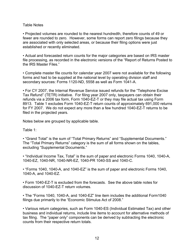#### Table Notes

• Projected volumes are rounded to the nearest hundredth, therefore counts of 49 or fewer are rounded to zero. However, some forms can report zero filings because they are associated with only selected areas, or because their filing options were just established or recently eliminated.

• Actual and forecasted return counts for the major categories are based on IRS master file processing, as recorded in the electronic versions of the "Report of Returns Posted to the IRS Master Files."

• Complete master file counts for calendar year 2007 were not available for the following forms and had to be supplied at the national level by operating division staff and secondary sources: Forms 1120-ND, 5558 as well as Form 1041-A.

• For CY 2007, the Internal Revenue Service issued refunds for the "Telephone Excise Tax Refund" (TETR) initiative. For filing year 2007 only, taxpayers can obtain their refunds via a 2006 tax form, Form 1040-EZ-T or they may file actual tax using Form 8913. Table 1 excludes Form 1040-EZ-T return counts of approximately 691,000 returns for FY 2007. We do not expect any more than a few hundred 1040-EZ-T returns to be filed in the projected years.

Notes below are grouped by applicable table.

Table 1:

• "Grand Total" is the sum of "Total Primary Returns" and "Supplemental Documents." The "Total Primary Returns" category is the sum of all forms shown on the tables, excluding "Supplemental Documents."

• "Individual Income Tax, Total" is the sum of paper and electronic Forms 1040, 1040-A, 1040-EZ, 1040-NR, 1040-NR-EZ, 1040-PR 1040-SS and 1040-C.

• "Forms 1040, 1040-A, and 1040-EZ" is the sum of paper and electronic Forms 1040, 1040-A, and 1040-EZ.

• Form 1040-EZ-T is excluded from the forecasts. See the above table notes for discussion of 1040-EZ-T return volumes.

• The "Forms 1040, 1040-A, and 1040-EZ" line item includes the additional Form1040 filings due primarily to the "Economic Stimulus Act of 2008."

• Various return categories, such as Form 1040-ES (Individual Estimated Tax) and other business and individual returns, include line items to account for alternative methods of tax filing. The "paper only" components can be derived by subtracting the electronic counts from their respective return totals.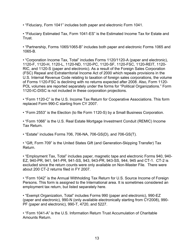• "Fiduciary, Form 1041" includes both paper and electronic Form 1041.

• "Fiduciary Estimated Tax, Form 1041-ES" is the Estimated Income Tax for Estate and Trust.

• "Partnership, Forms 1065/1065-B" includes both paper and electronic Forms 1065 and 1065-B.

• "Corporation Income Tax, Total" includes Forms 1120/1120-A (paper and electronic), 1120-F, 1120-H, 1120-L, 1120-ND, 1120-PC, 1120-SF, 1120-FSC, 1120-REIT, 1120- RIC, and 1120-S (paper and electronic). As a result of the Foreign Sales Corporation (FSC) Repeal and Extraterritorial Income Act of 2000 which repeals provisions in the U.S. Internal Revenue Code relating to taxation of foreign sales corporations, the volume of Forms 1120-FSC is declining with no returns expected after 2008. Also, Form 1120- POL volumes are reported separately under the forms for "Political Organizations." Form 1120-IC-DISC is not included in these corporation projections.

• "Form 1120-C" is the U.S. Income Tax Return for Cooperative Associations. This form replaced Form 990-C starting from CY 2007.

• "Form 2553" is the Election (to file Form 1120-S) by a Small Business Corporation.

• "Form 1066" is the U.S. Real Estate Mortgage Investment Conduit (REMIC) Income Tax Return.

• "Estate" includes Forms 706, 706-NA, 706-GS(D), and 706-GS(T).

• "Gift, Form 709" is the United States Gift (and Generation-Skipping Transfer) Tax Return.

• "Employment Tax, Total" includes paper, magnetic tape and electronic Forms 940, 940- EZ, 940-PR, 941, 941-PR, 941-SS, 943, 943-PR, 943-SS, 944, 945 and CT-1. CT-2 is excluded since the return counts were only available on Non-Master File. There were about 200 CT-2 returns filed in FY 2007.

• "Form 1042" is the Annual Withholding Tax Return for U.S. Source Income of Foreign Persons. This form is assigned to the International area. It is sometimes considered an employment tax return, but listed separately here.

• "Exempt Organization, Total" includes Forms 990 (paper and electronic), 990-EZ (paper and electronic), 990-N (only available electronically starting from CY2008), 990- PF (paper and electronic), 990-T, 4720, and 5227.

• "Form 1041-A" is the U.S. Information Return Trust Accumulation of Charitable Amounts Return.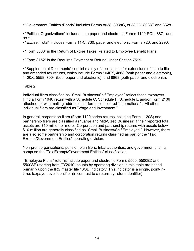- "Government Entities /Bonds" includes Forms 8038, 8038G, 8038GC, 8038T and 8328.
- "Political Organizations" includes both paper and electronic Forms 1120-POL, 8871 and 8872.
- "Excise, Total" includes Forms 11-C, 730, paper and electronic Forms 720, and 2290.
- "Form 5330" is the Return of Excise Taxes Related to Employee Benefit Plans.
- "Form 8752" is the Required Payment or Refund Under Section 7519.

• "Supplemental Documents" consist mainly of applications for extensions of time to file and amended tax returns, which include Forms 1040X, 4868 (both paper and electronic), 1120X, 5558, 7004 (both paper and electronic), and 8868 (both paper and electronic).

#### Table 2:

Individual filers classified as "Small Business/Self Employed" reflect those taxpayers filing a Form 1040 return with a Schedule C, Schedule F, Schedule E and/or Form 2106 attached, or with mailing addresses or forms considered "International". All other individual filers are classified as "Wage and Investment."

In general, corporation filers (Form 1120 series returns including Form 1120S) and partnership filers are classified as "Large and Mid-Sized Business" if their reported total assets are \$10 million or more. Corporation and partnership returns with assets below \$10 million are generally classified as "Small Business/Self Employed." However, there are also some partnership and corporation returns classified as part of the "Tax Exempt/Government Entities" operating division.

Non-profit organizations, pension plan filers, tribal authorities, and governmental units comprise the "Tax Exempt/Government Entities" classification.

 "Employee Plans" returns include paper and electronic Forms 5500, 5500EZ and 5500SF (starting from CY2010) counts by operating division in this table are based primarily upon the IRS master file "BOD indicator." This indicator is a single, point-intime, taxpayer level identifier (in contrast to a return-by-return identifier).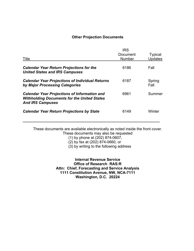#### **Other Projection Documents**

| Title                                                                                                                                | <b>IRS</b><br>Document<br><b>Number</b> | <b>Typical</b><br><b>Updates</b> |
|--------------------------------------------------------------------------------------------------------------------------------------|-----------------------------------------|----------------------------------|
| <b>Calendar Year Return Projections for the</b><br><b>United States and IRS Campuses</b>                                             | 6186                                    | Fall                             |
| <b>Calendar Year Projections of Individual Returns</b><br>by Major Processing Categories                                             | 6187                                    | Spring<br>Fall                   |
| <b>Calendar Year Projections of Information and</b><br><b>Withholding Documents for the United States</b><br><b>And IRS Campuses</b> | 6961                                    | Summer                           |
| <b>Calendar Year Return Projections by State</b>                                                                                     | 6149                                    | Winter                           |

These documents are available electronically as noted inside the front cover. These documents may also be requested

(1) by phone at (202) 874-0607,

 $\overline{a}$ 

(2) by fax at (202) 874-0660, or

(3) by writing to the following address

**Internal Revenue Service Office of Research RAS:R Attn: Chief, Forecasting and Service Analysis 1111 Constitution Avenue, NW, NCA-7111 Washington, D.C. 20224**